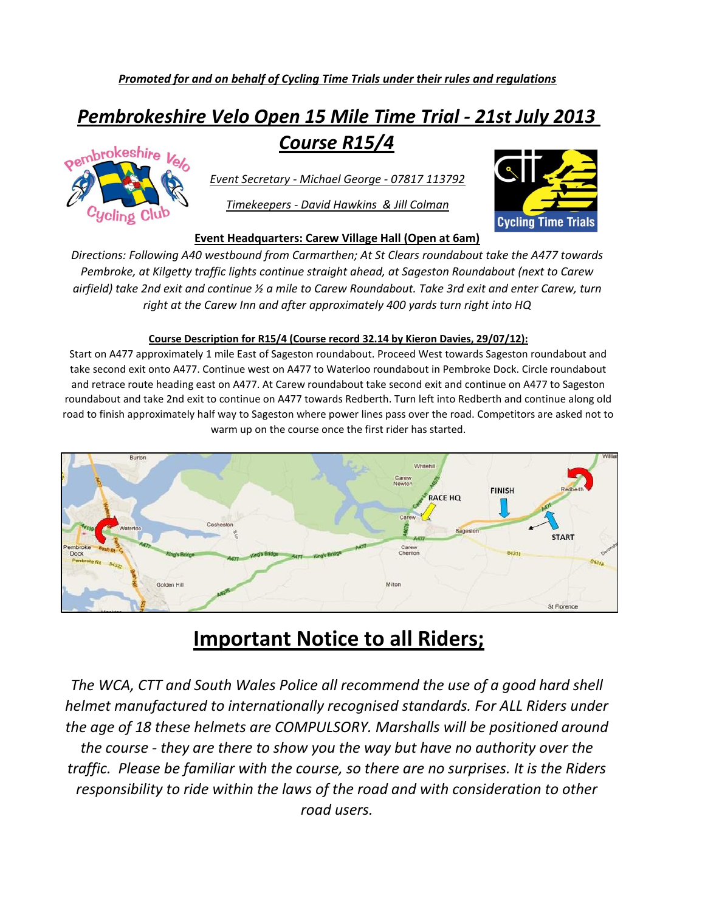## *Pembrokeshire Velo Open 15 Mile Time Trial - 21st July 2013 Course R15/4*



*Event Secretary - Michael George - 07817 113792*

*Timekeepers - David Hawkins & Jill Colman*



#### **Event Headquarters: Carew Village Hall (Open at 6am)**

*Directions: Following A40 westbound from Carmarthen; At St Clears roundabout take the A477 towards Pembroke, at Kilgetty traffic lights continue straight ahead, at Sageston Roundabout (next to Carew airfield) take 2nd exit and continue ½ a mile to Carew Roundabout. Take 3rd exit and enter Carew, turn right at the Carew Inn and after approximately 400 yards turn right into HQ*

#### **Course Description for R15/4 (Course record 32.14 by Kieron Davies, 29/07/12):**

Start on A477 approximately 1 mile East of Sageston roundabout. Proceed West towards Sageston roundabout and take second exit onto A477. Continue west on A477 to Waterloo roundabout in Pembroke Dock. Circle roundabout and retrace route heading east on A477. At Carew roundabout take second exit and continue on A477 to Sageston roundabout and take 2nd exit to continue on A477 towards Redberth. Turn left into Redberth and continue along old road to finish approximately half way to Sageston where power lines pass over the road. Competitors are asked not to warm up on the course once the first rider has started.



### **Important Notice to all Riders;**

*The WCA, CTT and South Wales Police all recommend the use of a good hard shell helmet manufactured to internationally recognised standards. For ALL Riders under the age of 18 these helmets are COMPULSORY. Marshalls will be positioned around the course - they are there to show you the way but have no authority over the traffic. Please be familiar with the course, so there are no surprises. It is the Riders responsibility to ride within the laws of the road and with consideration to other road users.*